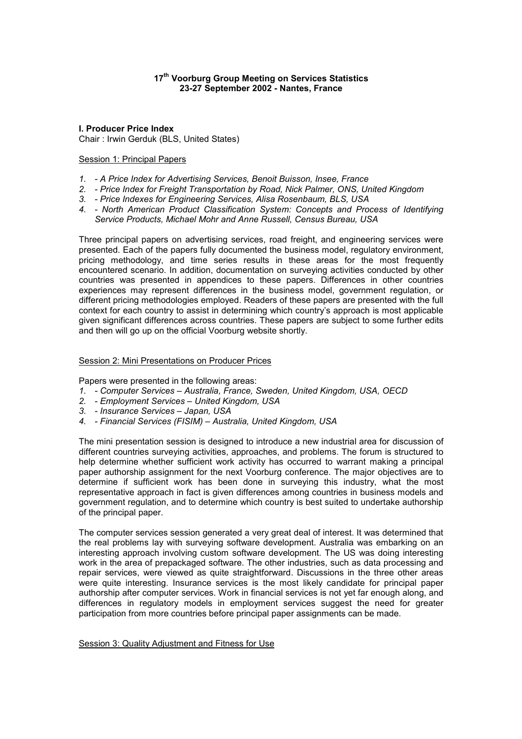## **17th Voorburg Group Meeting on Services Statistics 23-27 September 2002 - Nantes, France**

**I. Producer Price Index**  Chair : Irwin Gerduk (BLS, United States)

# Session 1: Principal Papers

- *1. A Price Index for Advertising Services, Benoit Buisson, Insee, France*
- *2. Price Index for Freight Transportation by Road, Nick Palmer, ONS, United Kingdom*
- *3. Price Indexes for Engineering Services, Alisa Rosenbaum, BLS, USA*
- *4. North American Product Classification System: Concepts and Process of Identifying Service Products, Michael Mohr and Anne Russell, Census Bureau, USA*

Three principal papers on advertising services, road freight, and engineering services were presented. Each of the papers fully documented the business model, regulatory environment, pricing methodology, and time series results in these areas for the most frequently encountered scenario. In addition, documentation on surveying activities conducted by other countries was presented in appendices to these papers. Differences in other countries experiences may represent differences in the business model, government regulation, or different pricing methodologies employed. Readers of these papers are presented with the full context for each country to assist in determining which country's approach is most applicable given significant differences across countries. These papers are subject to some further edits and then will go up on the official Voorburg website shortly.

#### Session 2: Mini Presentations on Producer Prices

Papers were presented in the following areas:

- *1. Computer Services Australia, France, Sweden, United Kingdom, USA, OECD*
- *2. Employment Services United Kingdom, USA*
- *3. Insurance Services Japan, USA*
- *4. Financial Services (FISIM) Australia, United Kingdom, USA*

The mini presentation session is designed to introduce a new industrial area for discussion of different countries surveying activities, approaches, and problems. The forum is structured to help determine whether sufficient work activity has occurred to warrant making a principal paper authorship assignment for the next Voorburg conference. The major objectives are to determine if sufficient work has been done in surveying this industry, what the most representative approach in fact is given differences among countries in business models and government regulation, and to determine which country is best suited to undertake authorship of the principal paper.

The computer services session generated a very great deal of interest. It was determined that the real problems lay with surveying software development. Australia was embarking on an interesting approach involving custom software development. The US was doing interesting work in the area of prepackaged software. The other industries, such as data processing and repair services, were viewed as quite straightforward. Discussions in the three other areas were quite interesting. Insurance services is the most likely candidate for principal paper authorship after computer services. Work in financial services is not yet far enough along, and differences in regulatory models in employment services suggest the need for greater participation from more countries before principal paper assignments can be made.

Session 3: Quality Adjustment and Fitness for Use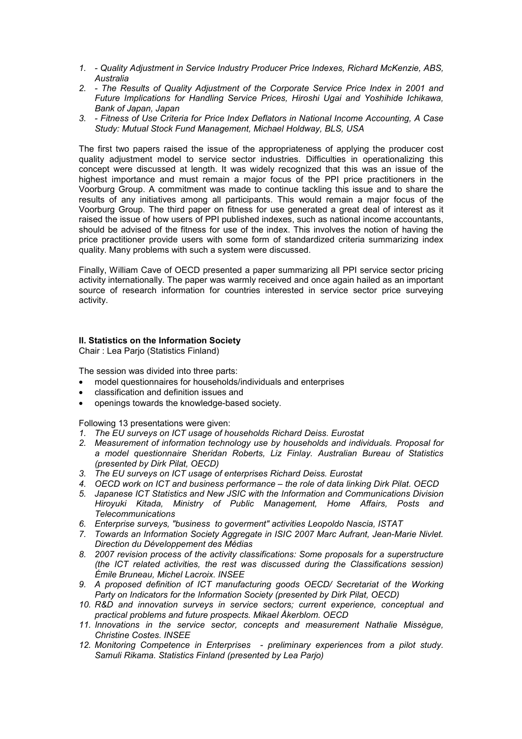- *1. Quality Adjustment in Service Industry Producer Price Indexes, Richard McKenzie, ABS, Australia*
- *2. The Results of Quality Adjustment of the Corporate Service Price Index in 2001 and Future Implications for Handling Service Prices, Hiroshi Ugai and Yoshihide Ichikawa, Bank of Japan, Japan*
- *3. Fitness of Use Criteria for Price Index Deflators in National Income Accounting, A Case Study: Mutual Stock Fund Management, Michael Holdway, BLS, USA*

The first two papers raised the issue of the appropriateness of applying the producer cost quality adjustment model to service sector industries. Difficulties in operationalizing this concept were discussed at length. It was widely recognized that this was an issue of the highest importance and must remain a major focus of the PPI price practitioners in the Voorburg Group. A commitment was made to continue tackling this issue and to share the results of any initiatives among all participants. This would remain a major focus of the Voorburg Group. The third paper on fitness for use generated a great deal of interest as it raised the issue of how users of PPI published indexes, such as national income accountants, should be advised of the fitness for use of the index. This involves the notion of having the price practitioner provide users with some form of standardized criteria summarizing index quality. Many problems with such a system were discussed.

Finally, William Cave of OECD presented a paper summarizing all PPI service sector pricing activity internationally. The paper was warmly received and once again hailed as an important source of research information for countries interested in service sector price surveying activity.

# **II. Statistics on the Information Society**

Chair : Lea Parjo (Statistics Finland)

The session was divided into three parts:

- model questionnaires for households/individuals and enterprises
- classification and definition issues and
- openings towards the knowledge-based society.

Following 13 presentations were given:

- *1. The EU surveys on ICT usage of households Richard Deiss. Eurostat*
- *2. Measurement of information technology use by households and individuals. Proposal for a model questionnaire Sheridan Roberts, Liz Finlay. Australian Bureau of Statistics (presented by Dirk Pilat, OECD)*
- *3. The EU surveys on ICT usage of enterprises Richard Deiss. Eurostat*
- *4. OECD work on ICT and business performance the role of data linking Dirk Pilat. OECD*
- *5. Japanese ICT Statistics and New JSIC with the Information and Communications Division Hiroyuki Kitada, Ministry of Public Management, Home Affairs, Posts and Telecommunications*
- *6. Enterprise surveys, "business to goverment" activities Leopoldo Nascia, ISTAT*
- *7. Towards an Information Society Aggregate in ISIC 2007 Marc Aufrant, Jean-Marie Nivlet. Direction du Développement des Médias*
- *8. 2007 revision process of the activity classifications: Some proposals for a superstructure (the ICT related activities, the rest was discussed during the Classifications session) Émile Bruneau, Michel Lacroix. INSEE*
- 9. A proposed definition of ICT manufacturing goods OECD/ Secretariat of the Working *Party on Indicators for the Information Society (presented by Dirk Pilat, OECD)*
- *10. R&D and innovation surveys in service sectors; current experience, conceptual and practical problems and future prospects. Mikael Åkerblom. OECD*
- *11. Innovations in the service sector, concepts and measurement Nathalie Missègue, Christine Costes. INSEE*
- *12. Monitoring Competence in Enterprises preliminary experiences from a pilot study. Samuli Rikama. Statistics Finland (presented by Lea Parjo)*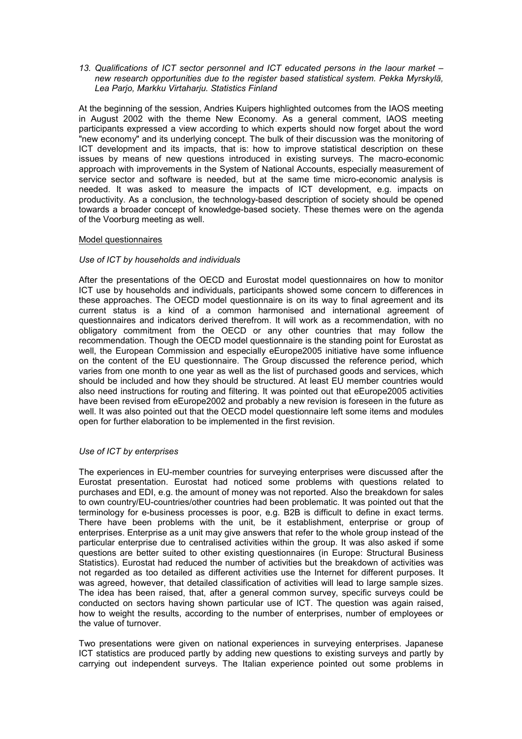*13. Qualifications of ICT sector personnel and ICT educated persons in the laour market – new research opportunities due to the register based statistical system. Pekka Myrskylä, Lea Parjo, Markku Virtaharju. Statistics Finland* 

At the beginning of the session, Andries Kuipers highlighted outcomes from the IAOS meeting in August 2002 with the theme New Economy. As a general comment, IAOS meeting participants expressed a view according to which experts should now forget about the word "new economy" and its underlying concept. The bulk of their discussion was the monitoring of ICT development and its impacts, that is: how to improve statistical description on these issues by means of new questions introduced in existing surveys. The macro-economic approach with improvements in the System of National Accounts, especially measurement of service sector and software is needed, but at the same time micro-economic analysis is needed. It was asked to measure the impacts of ICT development, e.g. impacts on productivity. As a conclusion, the technology-based description of society should be opened towards a broader concept of knowledge-based society. These themes were on the agenda of the Voorburg meeting as well.

#### Model questionnaires

#### *Use of ICT by households and individuals*

After the presentations of the OECD and Eurostat model questionnaires on how to monitor ICT use by households and individuals, participants showed some concern to differences in these approaches. The OECD model questionnaire is on its way to final agreement and its current status is a kind of a common harmonised and international agreement of questionnaires and indicators derived therefrom. It will work as a recommendation, with no obligatory commitment from the OECD or any other countries that may follow the recommendation. Though the OECD model questionnaire is the standing point for Eurostat as well, the European Commission and especially eEurope2005 initiative have some influence on the content of the EU questionnaire. The Group discussed the reference period, which varies from one month to one year as well as the list of purchased goods and services, which should be included and how they should be structured. At least EU member countries would also need instructions for routing and filtering. It was pointed out that eEurope2005 activities have been revised from eEurope2002 and probably a new revision is foreseen in the future as well. It was also pointed out that the OECD model questionnaire left some items and modules open for further elaboration to be implemented in the first revision.

#### *Use of ICT by enterprises*

The experiences in EU-member countries for surveying enterprises were discussed after the Eurostat presentation. Eurostat had noticed some problems with questions related to purchases and EDI, e.g. the amount of money was not reported. Also the breakdown for sales to own country/EU-countries/other countries had been problematic. It was pointed out that the terminology for e-business processes is poor, e.g. B2B is difficult to define in exact terms. There have been problems with the unit, be it establishment, enterprise or group of enterprises. Enterprise as a unit may give answers that refer to the whole group instead of the particular enterprise due to centralised activities within the group. It was also asked if some questions are better suited to other existing questionnaires (in Europe: Structural Business Statistics). Eurostat had reduced the number of activities but the breakdown of activities was not regarded as too detailed as different activities use the Internet for different purposes. It was agreed, however, that detailed classification of activities will lead to large sample sizes. The idea has been raised, that, after a general common survey, specific surveys could be conducted on sectors having shown particular use of ICT. The question was again raised, how to weight the results, according to the number of enterprises, number of employees or the value of turnover.

Two presentations were given on national experiences in surveying enterprises. Japanese ICT statistics are produced partly by adding new questions to existing surveys and partly by carrying out independent surveys. The Italian experience pointed out some problems in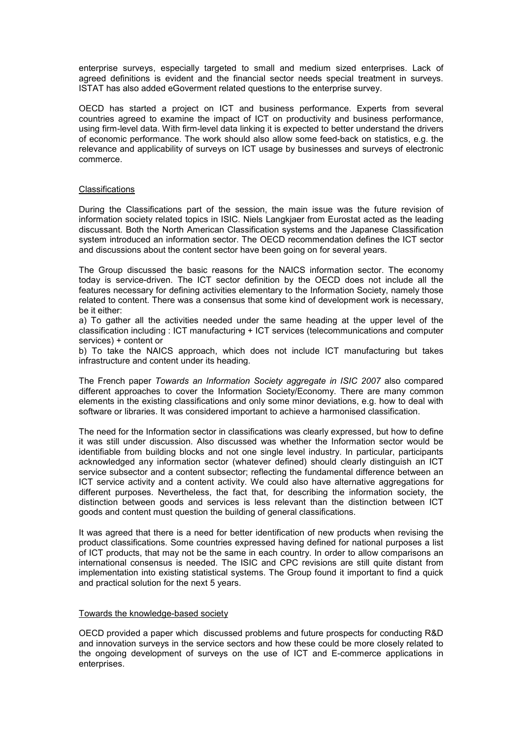enterprise surveys, especially targeted to small and medium sized enterprises. Lack of agreed definitions is evident and the financial sector needs special treatment in surveys. ISTAT has also added eGoverment related questions to the enterprise survey.

OECD has started a project on ICT and business performance. Experts from several countries agreed to examine the impact of ICT on productivity and business performance, using firm-level data. With firm-level data linking it is expected to better understand the drivers of economic performance. The work should also allow some feed-back on statistics, e.g. the relevance and applicability of surveys on ICT usage by businesses and surveys of electronic commerce.

#### **Classifications**

During the Classifications part of the session, the main issue was the future revision of information society related topics in ISIC. Niels Langkjaer from Eurostat acted as the leading discussant. Both the North American Classification systems and the Japanese Classification system introduced an information sector. The OECD recommendation defines the ICT sector and discussions about the content sector have been going on for several years.

The Group discussed the basic reasons for the NAICS information sector. The economy today is service-driven. The ICT sector definition by the OECD does not include all the features necessary for defining activities elementary to the Information Society, namely those related to content. There was a consensus that some kind of development work is necessary, be it either:

a) To gather all the activities needed under the same heading at the upper level of the classification including : ICT manufacturing + ICT services (telecommunications and computer services) + content or

b) To take the NAICS approach, which does not include ICT manufacturing but takes infrastructure and content under its heading.

The French paper *Towards an Information Society aggregate in ISIC 2007* also compared different approaches to cover the Information Society/Economy. There are many common elements in the existing classifications and only some minor deviations, e.g. how to deal with software or libraries. It was considered important to achieve a harmonised classification.

The need for the Information sector in classifications was clearly expressed, but how to define it was still under discussion. Also discussed was whether the Information sector would be identifiable from building blocks and not one single level industry. In particular, participants acknowledged any information sector (whatever defined) should clearly distinguish an ICT service subsector and a content subsector; reflecting the fundamental difference between an ICT service activity and a content activity. We could also have alternative aggregations for different purposes. Nevertheless, the fact that, for describing the information society, the distinction between goods and services is less relevant than the distinction between ICT goods and content must question the building of general classifications.

It was agreed that there is a need for better identification of new products when revising the product classifications. Some countries expressed having defined for national purposes a list of ICT products, that may not be the same in each country. In order to allow comparisons an international consensus is needed. The ISIC and CPC revisions are still quite distant from implementation into existing statistical systems. The Group found it important to find a quick and practical solution for the next 5 years.

#### Towards the knowledge-based society

OECD provided a paper which discussed problems and future prospects for conducting R&D and innovation surveys in the service sectors and how these could be more closely related to the ongoing development of surveys on the use of ICT and E-commerce applications in enterprises.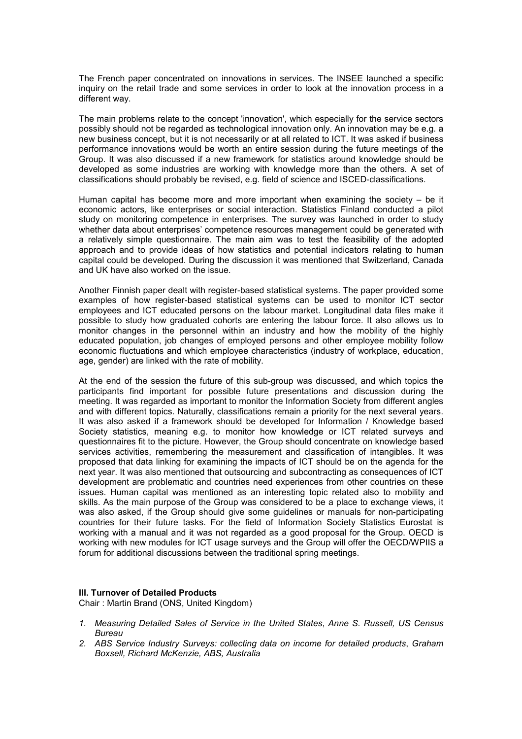The French paper concentrated on innovations in services. The INSEE launched a specific inquiry on the retail trade and some services in order to look at the innovation process in a different way.

The main problems relate to the concept 'innovation', which especially for the service sectors possibly should not be regarded as technological innovation only. An innovation may be e.g. a new business concept, but it is not necessarily or at all related to ICT. It was asked if business performance innovations would be worth an entire session during the future meetings of the Group. It was also discussed if a new framework for statistics around knowledge should be developed as some industries are working with knowledge more than the others. A set of classifications should probably be revised, e.g. field of science and ISCED-classifications.

Human capital has become more and more important when examining the society – be it economic actors, like enterprises or social interaction. Statistics Finland conducted a pilot study on monitoring competence in enterprises. The survey was launched in order to study whether data about enterprises' competence resources management could be generated with a relatively simple questionnaire. The main aim was to test the feasibility of the adopted approach and to provide ideas of how statistics and potential indicators relating to human capital could be developed. During the discussion it was mentioned that Switzerland, Canada and UK have also worked on the issue.

Another Finnish paper dealt with register-based statistical systems. The paper provided some examples of how register-based statistical systems can be used to monitor ICT sector employees and ICT educated persons on the labour market. Longitudinal data files make it possible to study how graduated cohorts are entering the labour force. It also allows us to monitor changes in the personnel within an industry and how the mobility of the highly educated population, job changes of employed persons and other employee mobility follow economic fluctuations and which employee characteristics (industry of workplace, education, age, gender) are linked with the rate of mobility.

At the end of the session the future of this sub-group was discussed, and which topics the participants find important for possible future presentations and discussion during the meeting. It was regarded as important to monitor the Information Society from different angles and with different topics. Naturally, classifications remain a priority for the next several years. It was also asked if a framework should be developed for Information / Knowledge based Society statistics, meaning e.g. to monitor how knowledge or ICT related surveys and questionnaires fit to the picture. However, the Group should concentrate on knowledge based services activities, remembering the measurement and classification of intangibles. It was proposed that data linking for examining the impacts of ICT should be on the agenda for the next year. It was also mentioned that outsourcing and subcontracting as consequences of ICT development are problematic and countries need experiences from other countries on these issues. Human capital was mentioned as an interesting topic related also to mobility and skills. As the main purpose of the Group was considered to be a place to exchange views, it was also asked, if the Group should give some guidelines or manuals for non-participating countries for their future tasks. For the field of Information Society Statistics Eurostat is working with a manual and it was not regarded as a good proposal for the Group. OECD is working with new modules for ICT usage surveys and the Group will offer the OECD/WPIIS a forum for additional discussions between the traditional spring meetings.

#### **III. Turnover of Detailed Products**

Chair : Martin Brand (ONS, United Kingdom)

- *1. Measuring Detailed Sales of Service in the United States*, *Anne S. Russell, US Census Bureau*
- *2. ABS Service Industry Surveys: collecting data on income for detailed products*, *Graham Boxsell, Richard McKenzie, ABS, Australia*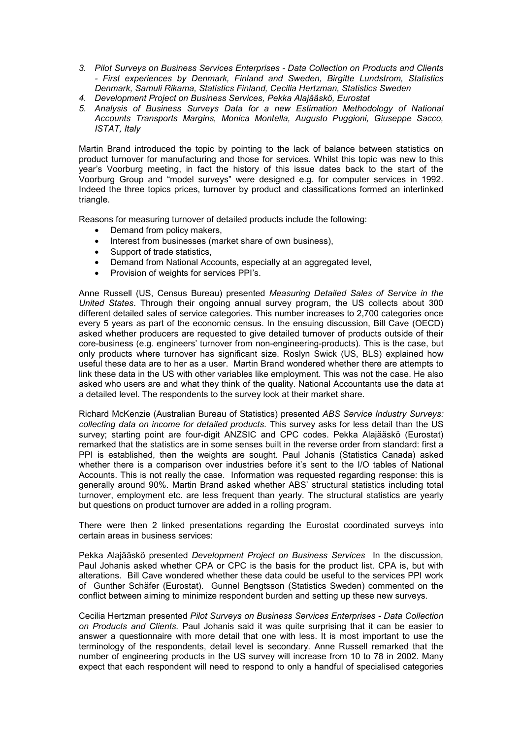- *3. Pilot Surveys on Business Services Enterprises Data Collection on Products and Clients - First experiences by Denmark, Finland and Sweden, Birgitte Lundstrom, Statistics Denmark, Samuli Rikama, Statistics Finland, Cecilia Hertzman, Statistics Sweden*
- *4. Development Project on Business Services, Pekka Alajääskö, Eurostat*
- *5. Analysis of Business Surveys Data for a new Estimation Methodology of National Accounts Transports Margins, Monica Montella, Augusto Puggioni, Giuseppe Sacco, ISTAT, Italy*

Martin Brand introduced the topic by pointing to the lack of balance between statistics on product turnover for manufacturing and those for services. Whilst this topic was new to this year's Voorburg meeting, in fact the history of this issue dates back to the start of the Voorburg Group and "model surveys" were designed e.g. for computer services in 1992. Indeed the three topics prices, turnover by product and classifications formed an interlinked triangle.

Reasons for measuring turnover of detailed products include the following:

- Demand from policy makers,
- Interest from businesses (market share of own business),
- Support of trade statistics.
- Demand from National Accounts, especially at an aggregated level,
- Provision of weights for services PPI's.

Anne Russell (US, Census Bureau) presented *Measuring Detailed Sales of Service in the United States*. Through their ongoing annual survey program, the US collects about 300 different detailed sales of service categories. This number increases to 2,700 categories once every 5 years as part of the economic census. In the ensuing discussion, Bill Cave (OECD) asked whether producers are requested to give detailed turnover of products outside of their core-business (e.g. engineers' turnover from non-engineering-products). This is the case, but only products where turnover has significant size. Roslyn Swick (US, BLS) explained how useful these data are to her as a user. Martin Brand wondered whether there are attempts to link these data in the US with other variables like employment. This was not the case. He also asked who users are and what they think of the quality. National Accountants use the data at a detailed level. The respondents to the survey look at their market share.

Richard McKenzie (Australian Bureau of Statistics) presented *ABS Service Industry Surveys: collecting data on income for detailed products*. This survey asks for less detail than the US survey; starting point are four-digit ANZSIC and CPC codes. Pekka Alajääskö (Eurostat) remarked that the statistics are in some senses built in the reverse order from standard: first a PPI is established, then the weights are sought. Paul Johanis (Statistics Canada) asked whether there is a comparison over industries before it's sent to the I/O tables of National Accounts. This is not really the case. Information was requested regarding response: this is generally around 90%. Martin Brand asked whether ABS' structural statistics including total turnover, employment etc. are less frequent than yearly. The structural statistics are yearly but questions on product turnover are added in a rolling program.

There were then 2 linked presentations regarding the Eurostat coordinated surveys into certain areas in business services:

Pekka Alajääskö presented *Development Project on Business Services* In the discussion*,*  Paul Johanis asked whether CPA or CPC is the basis for the product list. CPA is, but with alterations. Bill Cave wondered whether these data could be useful to the services PPI work of Gunther Schäfer (Eurostat). Gunnel Bengtsson (Statistics Sweden) commented on the conflict between aiming to minimize respondent burden and setting up these new surveys.

Cecilia Hertzman presented *Pilot Surveys on Business Services Enterprises - Data Collection on Products and Clients.* Paul Johanis said it was quite surprising that it can be easier to answer a questionnaire with more detail that one with less. It is most important to use the terminology of the respondents, detail level is secondary. Anne Russell remarked that the number of engineering products in the US survey will increase from 10 to 78 in 2002. Many expect that each respondent will need to respond to only a handful of specialised categories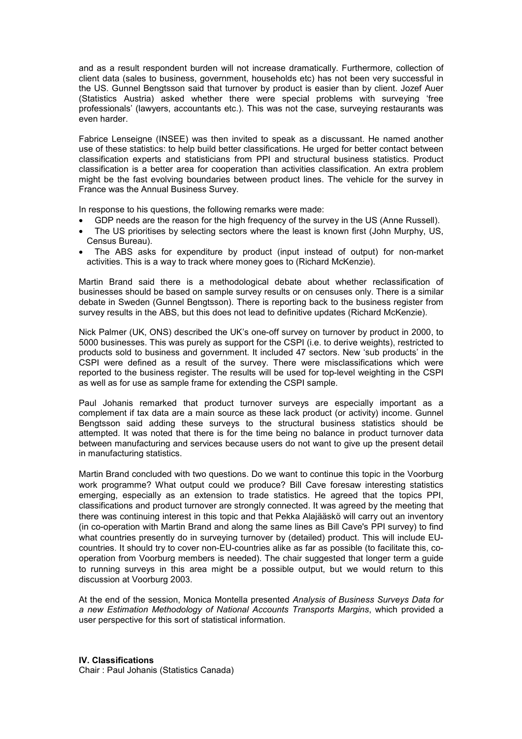and as a result respondent burden will not increase dramatically. Furthermore, collection of client data (sales to business, government, households etc) has not been very successful in the US. Gunnel Bengtsson said that turnover by product is easier than by client. Jozef Auer (Statistics Austria) asked whether there were special problems with surveying 'free professionals' (lawyers, accountants etc.). This was not the case, surveying restaurants was even harder.

Fabrice Lenseigne (INSEE) was then invited to speak as a discussant. He named another use of these statistics: to help build better classifications. He urged for better contact between classification experts and statisticians from PPI and structural business statistics. Product classification is a better area for cooperation than activities classification. An extra problem might be the fast evolving boundaries between product lines. The vehicle for the survey in France was the Annual Business Survey.

In response to his questions, the following remarks were made:

- GDP needs are the reason for the high frequency of the survey in the US (Anne Russell).
- The US prioritises by selecting sectors where the least is known first (John Murphy, US, Census Bureau).
- The ABS asks for expenditure by product (input instead of output) for non-market activities. This is a way to track where money goes to (Richard McKenzie).

Martin Brand said there is a methodological debate about whether reclassification of businesses should be based on sample survey results or on censuses only. There is a similar debate in Sweden (Gunnel Bengtsson). There is reporting back to the business register from survey results in the ABS, but this does not lead to definitive updates (Richard McKenzie).

Nick Palmer (UK, ONS) described the UK's one-off survey on turnover by product in 2000, to 5000 businesses. This was purely as support for the CSPI (i.e. to derive weights), restricted to products sold to business and government. It included 47 sectors. New 'sub products' in the CSPI were defined as a result of the survey. There were misclassifications which were reported to the business register. The results will be used for top-level weighting in the CSPI as well as for use as sample frame for extending the CSPI sample.

Paul Johanis remarked that product turnover surveys are especially important as a complement if tax data are a main source as these lack product (or activity) income. Gunnel Bengtsson said adding these surveys to the structural business statistics should be attempted. It was noted that there is for the time being no balance in product turnover data between manufacturing and services because users do not want to give up the present detail in manufacturing statistics.

Martin Brand concluded with two questions. Do we want to continue this topic in the Voorburg work programme? What output could we produce? Bill Cave foresaw interesting statistics emerging, especially as an extension to trade statistics. He agreed that the topics PPI, classifications and product turnover are strongly connected. It was agreed by the meeting that there was continuing interest in this topic and that Pekka Alajääskö will carry out an inventory (in co-operation with Martin Brand and along the same lines as Bill Cave's PPI survey) to find what countries presently do in surveying turnover by (detailed) product. This will include EUcountries. It should try to cover non-EU-countries alike as far as possible (to facilitate this, cooperation from Voorburg members is needed). The chair suggested that longer term a guide to running surveys in this area might be a possible output, but we would return to this discussion at Voorburg 2003.

At the end of the session, Monica Montella presented *Analysis of Business Surveys Data for a new Estimation Methodology of National Accounts Transports Margins*, which provided a user perspective for this sort of statistical information.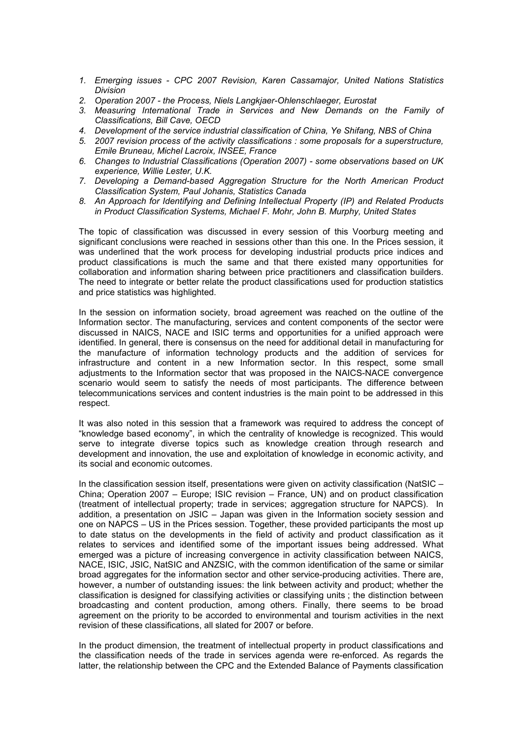- *1. Emerging issues CPC 2007 Revision, Karen Cassamajor, United Nations Statistics Division*
- *2. Operation 2007 the Process, Niels Langkjaer-Ohlenschlaeger, Eurostat*
- *3. Measuring International Trade in Services and New Demands on the Family of Classifications, Bill Cave, OECD*
- *4. Development of the service industrial classification of China, Ye Shifang, NBS of China*
- *5. 2007 revision process of the activity classifications : some proposals for a superstructure, Emile Bruneau, Michel Lacroix, INSEE, France*
- *6. Changes to Industrial Classifications (Operation 2007) some observations based on UK experience, Willie Lester, U.K.*
- *7. Developing a Demand-based Aggregation Structure for the North American Product Classification System, Paul Johanis, Statistics Canada*
- *8. An Approach for Identifying and Defining Intellectual Property (IP) and Related Products in Product Classification Systems, Michael F. Mohr, John B. Murphy, United States*

The topic of classification was discussed in every session of this Voorburg meeting and significant conclusions were reached in sessions other than this one. In the Prices session, it was underlined that the work process for developing industrial products price indices and product classifications is much the same and that there existed many opportunities for collaboration and information sharing between price practitioners and classification builders. The need to integrate or better relate the product classifications used for production statistics and price statistics was highlighted.

In the session on information society, broad agreement was reached on the outline of the Information sector. The manufacturing, services and content components of the sector were discussed in NAICS, NACE and ISIC terms and opportunities for a unified approach were identified. In general, there is consensus on the need for additional detail in manufacturing for the manufacture of information technology products and the addition of services for infrastructure and content in a new Information sector. In this respect, some small adjustments to the Information sector that was proposed in the NAICS-NACE convergence scenario would seem to satisfy the needs of most participants. The difference between telecommunications services and content industries is the main point to be addressed in this respect.

It was also noted in this session that a framework was required to address the concept of "knowledge based economy", in which the centrality of knowledge is recognized. This would serve to integrate diverse topics such as knowledge creation through research and development and innovation, the use and exploitation of knowledge in economic activity, and its social and economic outcomes.

In the classification session itself, presentations were given on activity classification (NatSIC – China; Operation 2007 – Europe; ISIC revision – France, UN) and on product classification (treatment of intellectual property; trade in services; aggregation structure for NAPCS). In addition, a presentation on JSIC – Japan was given in the Information society session and one on NAPCS – US in the Prices session. Together, these provided participants the most up to date status on the developments in the field of activity and product classification as it relates to services and identified some of the important issues being addressed. What emerged was a picture of increasing convergence in activity classification between NAICS, NACE, ISIC, JSIC, NatSIC and ANZSIC, with the common identification of the same or similar broad aggregates for the information sector and other service-producing activities. There are, however, a number of outstanding issues: the link between activity and product; whether the classification is designed for classifying activities or classifying units ; the distinction between broadcasting and content production, among others. Finally, there seems to be broad agreement on the priority to be accorded to environmental and tourism activities in the next revision of these classifications, all slated for 2007 or before.

In the product dimension, the treatment of intellectual property in product classifications and the classification needs of the trade in services agenda were re-enforced. As regards the latter, the relationship between the CPC and the Extended Balance of Payments classification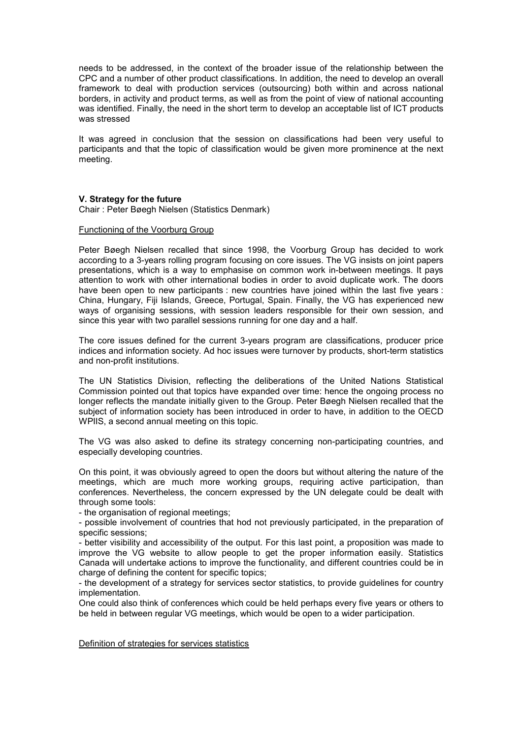needs to be addressed, in the context of the broader issue of the relationship between the CPC and a number of other product classifications. In addition, the need to develop an overall framework to deal with production services (outsourcing) both within and across national borders, in activity and product terms, as well as from the point of view of national accounting was identified. Finally, the need in the short term to develop an acceptable list of ICT products was stressed

It was agreed in conclusion that the session on classifications had been very useful to participants and that the topic of classification would be given more prominence at the next meeting.

#### **V. Strategy for the future**

Chair : Peter Bøegh Nielsen (Statistics Denmark)

## Functioning of the Voorburg Group

Peter Bøegh Nielsen recalled that since 1998, the Voorburg Group has decided to work according to a 3-years rolling program focusing on core issues. The VG insists on joint papers presentations, which is a way to emphasise on common work in-between meetings. It pays attention to work with other international bodies in order to avoid duplicate work. The doors have been open to new participants : new countries have joined within the last five years : China, Hungary, Fiji Islands, Greece, Portugal, Spain. Finally, the VG has experienced new ways of organising sessions, with session leaders responsible for their own session, and since this year with two parallel sessions running for one day and a half.

The core issues defined for the current 3-years program are classifications, producer price indices and information society. Ad hoc issues were turnover by products, short-term statistics and non-profit institutions.

The UN Statistics Division, reflecting the deliberations of the United Nations Statistical Commission pointed out that topics have expanded over time: hence the ongoing process no longer reflects the mandate initially given to the Group. Peter Bøegh Nielsen recalled that the subject of information society has been introduced in order to have, in addition to the OECD WPIIS, a second annual meeting on this topic.

The VG was also asked to define its strategy concerning non-participating countries, and especially developing countries.

On this point, it was obviously agreed to open the doors but without altering the nature of the meetings, which are much more working groups, requiring active participation, than conferences. Nevertheless, the concern expressed by the UN delegate could be dealt with through some tools:

- the organisation of regional meetings;

- possible involvement of countries that hod not previously participated, in the preparation of specific sessions;

- better visibility and accessibility of the output. For this last point, a proposition was made to improve the VG website to allow people to get the proper information easily. Statistics Canada will undertake actions to improve the functionality, and different countries could be in charge of defining the content for specific topics;

- the development of a strategy for services sector statistics, to provide guidelines for country implementation.

One could also think of conferences which could be held perhaps every five years or others to be held in between regular VG meetings, which would be open to a wider participation.

Definition of strategies for services statistics